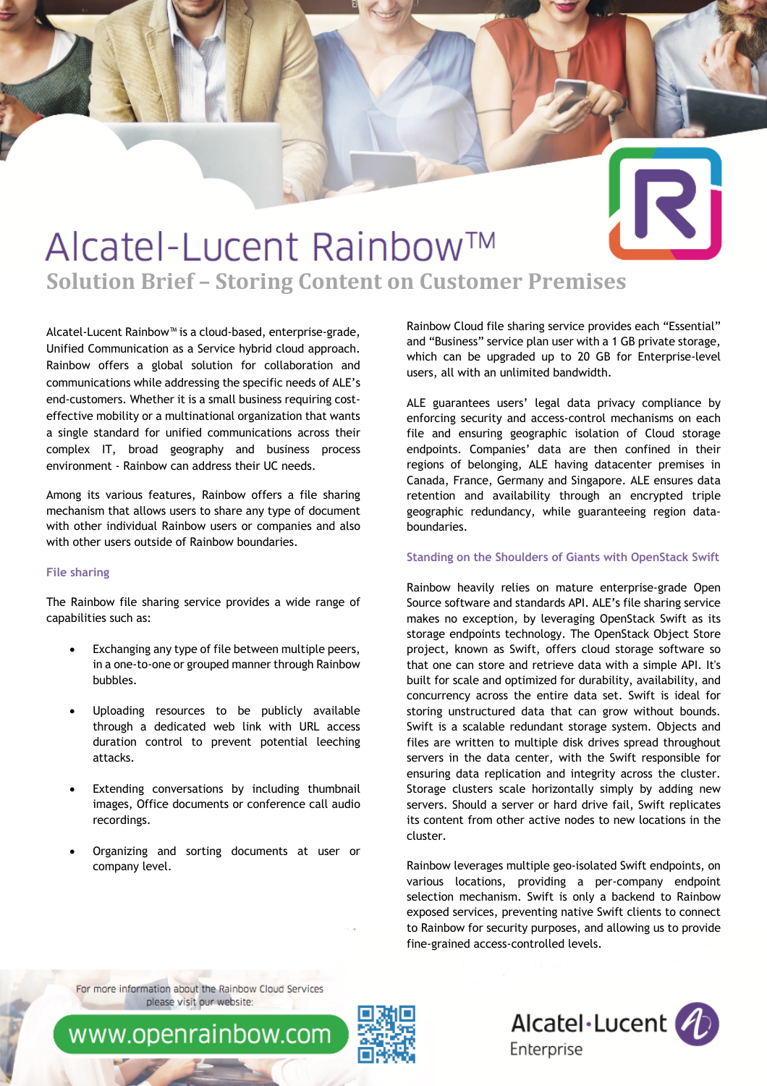# 3

## Alcatel-Lucent Rainbow™ **Solution Brief - Storing Content on Customer Premises**

Alcatel-Lucent Rainbow™ is a cloud-based, enterprise-grade, Unified Communication as a Service hybrid cloud approach. Rainbow offers a global solution for collaboration and communications while addressing the specific needs of ALE's end-customers. Whether it is a small business requiring costeffective mobility or a multinational organization that wants a single standard for unified communications across their complex IT, broad geography and business process environment - Rainbow can address their UC needs.

Among its various features, Rainbow offers a file sharing mechanism that allows users to share any type of document with other individual Rainbow users or companies and also with other users outside of Rainbow boundaries.

### **File sharing**

The Rainbow file sharing service provides a wide range of capabilities such as:

- Exchanging any type of file between multiple peers, in a one-to-one or grouped manner through Rainbow bubbles.
- Uploading resources to be publicly available through a dedicated web link with URL access duration control to prevent potential leeching attacks.
- Extending conversations by including thumbnail images, Office documents or conference call audio recordings.
- Organizing and sorting documents at user or company level.

Rainbow Cloud file sharing service provides each "Essential" and "Business" service plan user with a 1 GB private storage, which can be upgraded up to 20 GB for Enterprise-level users, all with an unlimited bandwidth.

ALE guarantees users' legal data privacy compliance by enforcing security and access-control mechanisms on each file and ensuring geographic isolation of Cloud storage endpoints. Companies' data are then confined in their regions of belonging, ALE having datacenter premises in Canada, France, Germany and Singapore. ALE ensures data retention and availability through an encrypted triple geographic redundancy, while guaranteeing region databoundaries.

#### **Standing on the Shoulders of Giants with OpenStack Swift**

Rainbow heavily relies on mature enterprise-grade Open Source software and standards API. ALE's file sharing service makes no exception, by leveraging OpenStack Swift as its storage endpoints technology. The OpenStack Object Store project, known as Swift, offers cloud storage software so that one can store and retrieve data with a simple API. It's built for scale and optimized for durability, availability, and concurrency across the entire data set. Swift is ideal for storing unstructured data that can grow without bounds. Swift is a scalable redundant storage system. Objects and files are written to multiple disk drives spread throughout servers in the data center, with the Swift responsible for ensuring data replication and integrity across the cluster. Storage clusters scale horizontally simply by adding new servers. Should a server or hard drive fail, Swift replicates its content from other active nodes to new locations in the cluster.

Rainbow leverages multiple geo-isolated Swift endpoints, on various locations, providing a per-company endpoint selection mechanism. Swift is only a backend to Rainbow exposed services, preventing native Swift clients to connect to Rainbow for security purposes, and allowing us to provide fine-grained access-controlled levels.

For more information about the Rainbow Cloud Services please visit our website:

www.openrainbow.com